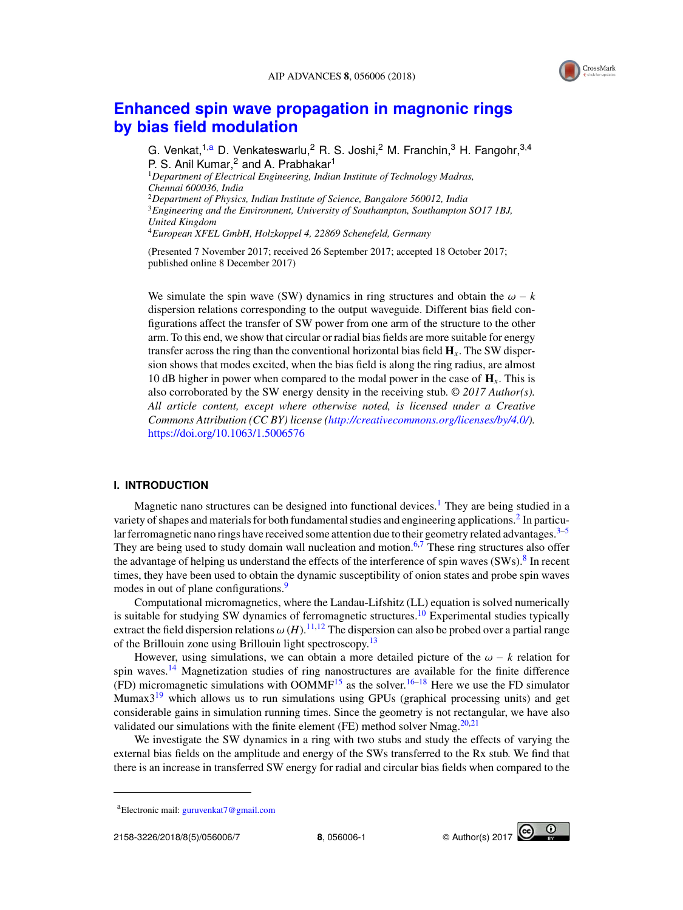

# **Enhanced spin wave propagation in magnonic rings by bias field modulation**

G. Venkat,<sup>1,a</sup> D. Venkateswarlu,<sup>2</sup> R. S. Joshi,<sup>2</sup> M. Franchin,<sup>3</sup> H. Fangohr,<sup>3,4</sup> P. S. Anil Kumar,<sup>2</sup> and A. Prabhakar<sup>1</sup>

*Department of Electrical Engineering, Indian Institute of Technology Madras, Chennai 600036, India Department of Physics, Indian Institute of Science, Bangalore 560012, India Engineering and the Environment, University of Southampton, Southampton SO17 1BJ, United Kingdom European XFEL GmbH, Holzkoppel 4, 22869 Schenefeld, Germany*

(Presented 7 November 2017; received 26 September 2017; accepted 18 October 2017; published online 8 December 2017)

We simulate the spin wave (SW) dynamics in ring structures and obtain the  $\omega - k$ dispersion relations corresponding to the output waveguide. Different bias field configurations affect the transfer of SW power from one arm of the structure to the other arm. To this end, we show that circular or radial bias fields are more suitable for energy transfer across the ring than the conventional horizontal bias field **H***x*. The SW dispersion shows that modes excited, when the bias field is along the ring radius, are almost 10 dB higher in power when compared to the modal power in the case of  $\mathbf{H}_x$ . This is also corroborated by the SW energy density in the receiving stub. © *2017 Author(s). All article content, except where otherwise noted, is licensed under a Creative Commons Attribution (CC BY) license (http://creativecommons.org/licenses/by/4.0/).* https://doi.org/10.1063/1.5006576

# **I. INTRODUCTION**

Magnetic nano structures can be designed into functional devices.<sup>1</sup> They are being studied in a variety of shapes and materials for both fundamental studies and engineering applications.<sup>2</sup> In particular ferromagnetic nano rings have received some attention due to their geometry related advantages.  $3-5$ They are being used to study domain wall nucleation and motion.<sup>6,7</sup> These ring structures also offer the advantage of helping us understand the effects of the interference of spin waves (SWs).<sup>8</sup> In recent times, they have been used to obtain the dynamic susceptibility of onion states and probe spin waves modes in out of plane configurations.<sup>9</sup>

Computational micromagnetics, where the Landau-Lifshitz (LL) equation is solved numerically is suitable for studying SW dynamics of ferromagnetic structures.<sup>10</sup> Experimental studies typically extract the field dispersion relations  $\omega(H)$ .<sup>11,12</sup> The dispersion can also be probed over a partial range of the Bril extract the field dispersion relations  $\omega(H)$ .<sup>11,12</sup> The dispersion can also be probed over a partial range of the Brillouin zone using Brillouin light spectroscopy.<sup>13</sup>

spin waves.<sup>14</sup> Magnetization studies of ring nanostructures are available for the finite difference (FD) micromagnetic simulations with OOMMF<sup>15</sup> as the solver.<sup>16–18</sup> Here we use the FD simulator Mumax $3^{19}$  which allows us to run simulations using GPUs (graphical processing units) and get considerable gains in simulation running times. Since the geometry is not rectangular, we have also validated our simulations with the finite element (FE) method solver Nmag.<sup>20,21</sup>

We investigate the SW dynamics in a ring with two stubs and study the effects of varying the external bias fields on the amplitude and energy of the SWs transferred to the Rx stub. We find that there is an increase in transferred SW energy for radial and circular bias fields when compared to the



<sup>a</sup>Electronic mail: guruvenkat7@gmail.com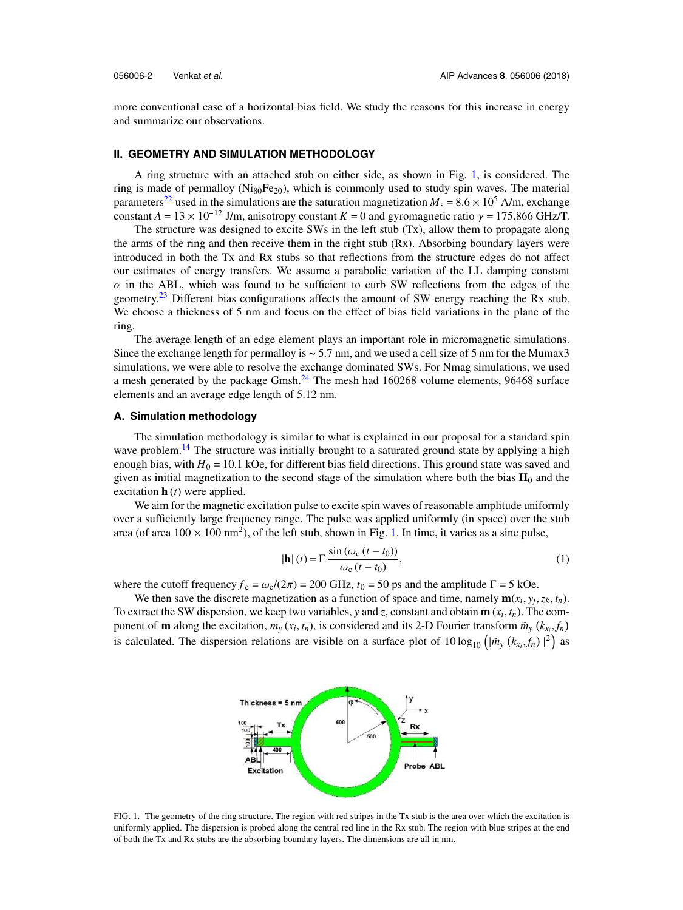more conventional case of a horizontal bias field. We study the reasons for this increase in energy and summarize our observations.

#### **II. GEOMETRY AND SIMULATION METHODOLOGY**

A ring structure with an attached stub on either side, as shown in Fig. 1, is considered. The ring is made of permalloy (Ni<sub>80</sub>Fe<sub>20</sub>), which is commonly used to study spin waves. The material parameters<sup>22</sup> used in the simulations are the saturation magnetization  $M_s = 8.6 \times 10^5$  A/m, exchange constant  $A = 13 \times 1$ parameters<sup>22</sup> used in the simulations are the saturation magnetization  $M_s = 8.6 \times 10^5$  A/m, exchange constant  $A = 13 \times 10^{-12}$  J/m, anisotropy constant  $K = 0$  and gyromagnetic ratio  $\gamma = 175.866$  GHz/T.

The structure was designed to excite SWs in the left stub (Tx), allow them to propagate along the arms of the ring and then receive them in the right stub  $(Rx)$ . Absorbing boundary layers were introduced in both the Tx and Rx stubs so that reflections from the structure edges do not affect our estimates of energy transfers. We assume a parabolic variation of the LL damping constant  $\alpha$  in the ABL, which was found to be sufficient to curb SW reflections from the edges of the geometry.<sup>23</sup> Different bias configurations affects the amount of SW energy reaching the Rx stub. We choose a thickness of 5 nm and focus on the effect of bias field variations in the plane of the ring.

The average length of an edge element plays an important role in micromagnetic simulations. Since the exchange length for permalloy is ∼ 5.7 nm, and we used a cell size of 5 nm for the Mumax3 simulations, we were able to resolve the exchange dominated SWs. For Nmag simulations, we used a mesh generated by the package  $Gmsh<sup>24</sup>$  The mesh had 160268 volume elements, 96468 surface elements and an average edge length of 5.12 nm.

# **A. Simulation methodology**

The simulation methodology is similar to what is explained in our proposal for a standard spin wave problem.<sup>14</sup> The structure was initially brought to a saturated ground state by applying a high enough bias, with  $H_0 = 10.1$  kOe, for different bias field directions. This ground state was saved and given as initial magnetization to the second stage of the simulation where both the bias  $\mathbf{H}_0$  and the excitation **h** (*t*) were applied.

We aim for the magnetic excitation pulse to excite spin waves of reasonable amplitude uniformly over a sufficiently large frequency range. The pulse was applied uniformly (in space) over the stub area (of area  $100 \times 100$  nm<sup>2</sup>), of the left stub, shown in Fig. 1. In time, it varies as a sinc pulse,

$$
|\mathbf{h}|(t) = \Gamma \frac{\sin (\omega_c (t - t_0))}{\omega_c (t - t_0)},
$$
\n(1)

where the cutoff frequency  $f_c = \omega_c/(2\pi) = 200$  GHz,  $t_0 = 50$  ps and the amplitude  $\Gamma = 5$  kOe.

We then save the discrete magnetization as a function of space and time, namely  $\mathbf{m}(x_i, y_j, z_k, t_n)$ . To extract the SW dispersion, we keep two variables, *y* and *z*, constant and obtain  $\mathbf{m}(x_i, t_n)$ . The component of **m** along the excitation,  $m_y(x_i, t_n)$ , is considered and its 2-D Fourier transform  $\tilde{m}_y(x_x, t_n)$ is calculated. The dispersion relations are visible on a surface plot of  $10 \log_{10} (\vert \tilde{m}_y (k_{x_i}, f_n) \vert^2)$  as



FIG. 1. The geometry of the ring structure. The region with red stripes in the Tx stub is the area over which the excitation is uniformly applied. The dispersion is probed along the central red line in the Rx stub. The region with blue stripes at the end of both the Tx and Rx stubs are the absorbing boundary layers. The dimensions are all in nm.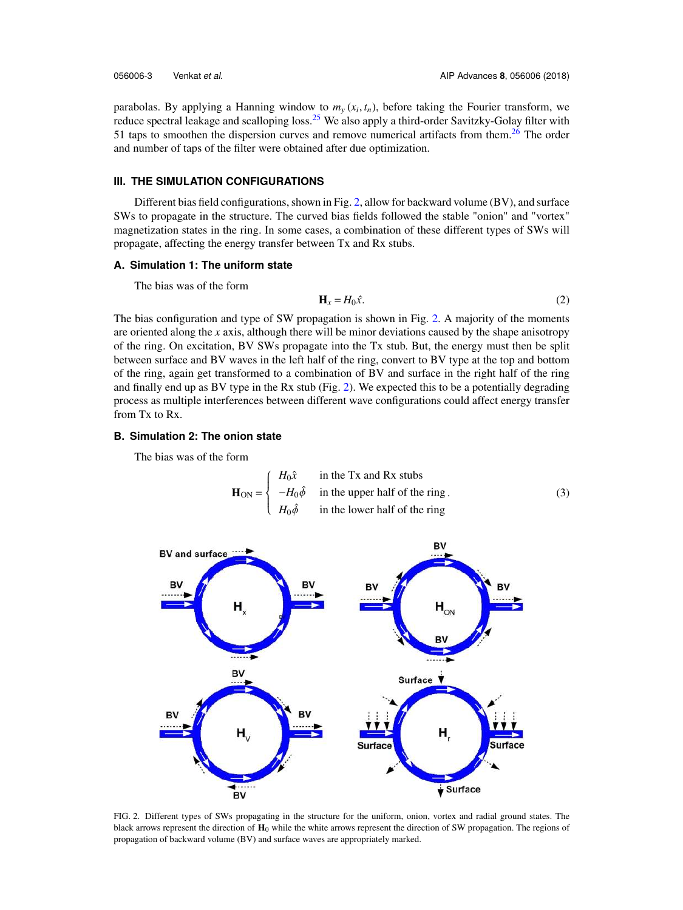parabolas. By applying a Hanning window to  $m_y(x_i, t_n)$ , before taking the Fourier transform, we reduce spectral leakage and scalloping loss.<sup>25</sup> We also apply a third-order Savitzky-Golay filter with 51 taps to smoothen the dispersion curves and remove numerical artifacts from them.<sup>26</sup> The order and number of taps of the filter were obtained after due optimization.

### **III. THE SIMULATION CONFIGURATIONS**

Different bias field configurations, shown in Fig. 2, allow for backward volume (BV), and surface SWs to propagate in the structure. The curved bias fields followed the stable "onion" and "vortex" magnetization states in the ring. In some cases, a combination of these different types of SWs will propagate, affecting the energy transfer between Tx and Rx stubs.

# **A. Simulation 1: The uniform state**

The bias was of the form

$$
\mathbf{H}_x = H_0 \hat{x}.\tag{2}
$$

The bias configuration and type of SW propagation is shown in Fig. 2. A majority of the moments are oriented along the *x* axis, although there will be minor deviations caused by the shape anisotropy of the ring. On excitation, BV SWs propagate into the Tx stub. But, the energy must then be split between surface and BV waves in the left half of the ring, convert to BV type at the top and bottom of the ring, again get transformed to a combination of BV and surface in the right half of the ring and finally end up as BV type in the Rx stub (Fig. 2). We expected this to be a potentially degrading process as multiple interferences between different wave configurations could affect energy transfer from Tx to Rx.

#### **B. Simulation 2: The onion state**

The bias was of the form





FIG. 2. Different types of SWs propagating in the structure for the uniform, onion, vortex and radial ground states. The black arrows represent the direction of **H**<sup>0</sup> while the white arrows represent the direction of SW propagation. The regions of propagation of backward volume (BV) and surface waves are appropriately marked.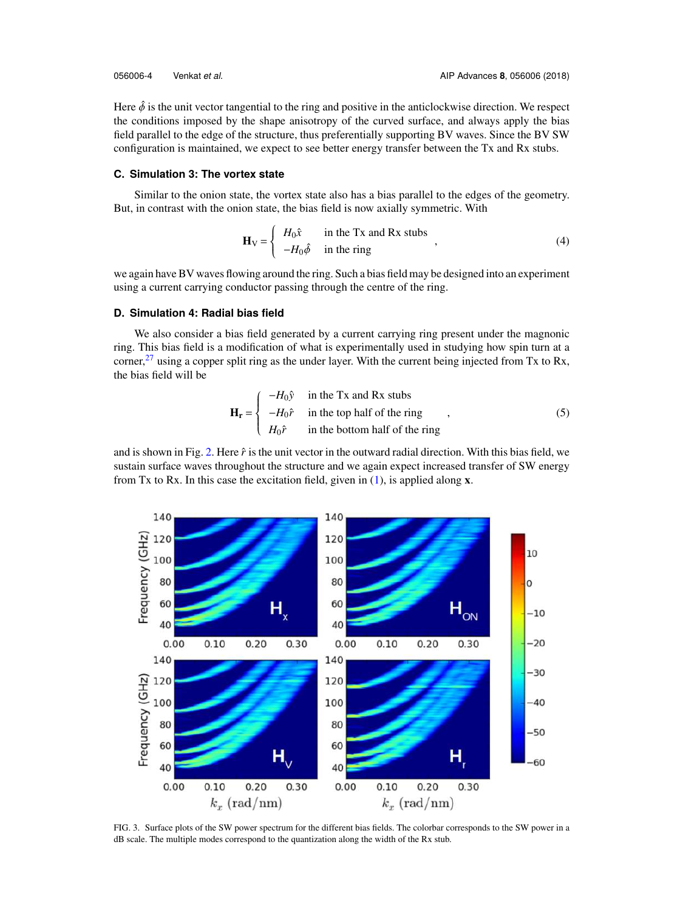Here  $\hat{\phi}$  is the unit vector tangential to the ring and positive in the anticlockwise direction. We respect the conditions imposed by the shape anisotropy of the curved surface, and always apply the bias field parallel to the edge of the structure, thus preferentially supporting BV waves. Since the BV SW configuration is maintained, we expect to see better energy transfer between the Tx and Rx stubs.

## **C. Simulation 3: The vortex state**

Similar to the onion state, the vortex state also has a bias parallel to the edges of the geometry. But, in contrast with the onion state, the bias field is now axially symmetric. With

$$
\mathbf{H}_{\rm V} = \begin{cases} H_0 \hat{x} & \text{in the Tx and Rx stubs} \\ -H_0 \hat{\phi} & \text{in the ring} \end{cases}
$$
 (4)

we again have BV waves flowing around the ring. Such a bias field may be designed into an experiment using a current carrying conductor passing through the centre of the ring.

## **D. Simulation 4: Radial bias field**

We also consider a bias field generated by a current carrying ring present under the magnonic ring. This bias field is a modification of what is experimentally used in studying how spin turn at a corner, $^{27}$  using a copper split ring as the under layer. With the current being injected from Tx to Rx, the bias field will be

$$
\mathbf{H}_{\mathbf{r}} = \begin{cases}\n-H_0 \hat{y} & \text{in the Tx and Rx stubs} \\
-H_0 \hat{r} & \text{in the top half of the ring} \\
H_0 \hat{r} & \text{in the bottom half of the ring}\n\end{cases}
$$
\n(5)

and is shown in Fig. 2. Here  $\hat{r}$  is the unit vector in the outward radial direction. With this bias field, we sustain surface waves throughout the structure and we again expect increased transfer of SW energy from Tx to Rx. In this case the excitation field, given in (1), is applied along **x**.



FIG. 3. Surface plots of the SW power spectrum for the different bias fields. The colorbar corresponds to the SW power in a dB scale. The multiple modes correspond to the quantization along the width of the Rx stub.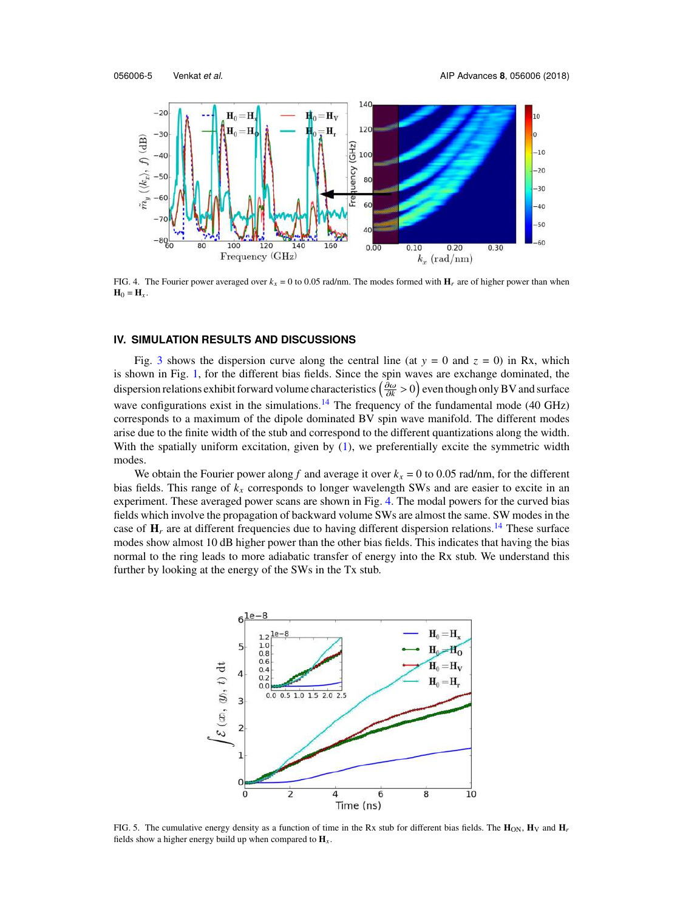

FIG. 4. The Fourier power averaged over  $k_x = 0$  to 0.05 rad/nm. The modes formed with  $H_r$  are of higher power than when  $H_0 = H_x$ .

## **IV. SIMULATION RESULTS AND DISCUSSIONS**

Fig. 3 shows the dispersion curve along the central line (at  $y = 0$  and  $z = 0$ ) in Rx, which is shown in Fig. 1, for the different bias fields. Since the spin waves are exchange dominated, the dispersion relations exhibit forward volume characteristics  $(\frac{\partial \omega}{\partial k} > 0)$  even though only BV and surface wave configurations exist in the simulations.<sup>14</sup> The frequency of the fundamental mode (40 GHz) corresponds to a maximum of the dipole dominated BV spin wave manifold. The different modes arise due to the finite width of the stub and correspond to the different quantizations along the width. With the spatially uniform excitation, given by (1), we preferentially excite the symmetric width modes.

We obtain the Fourier power along *f* and average it over  $k_x = 0$  to 0.05 rad/nm, for the different bias fields. This range of *k<sup>x</sup>* corresponds to longer wavelength SWs and are easier to excite in an experiment. These averaged power scans are shown in Fig. 4. The modal powers for the curved bias fields which involve the propagation of backward volume SWs are almost the same. SW modes in the case of  $\mathbf{H}_r$  are at different frequencies due to having different dispersion relations.<sup>14</sup> These surface modes show almost 10 dB higher power than the other bias fields. This indicates that having the bias normal to the ring leads to more adiabatic transfer of energy into the Rx stub. We understand this further by looking at the energy of the SWs in the Tx stub.



FIG. 5. The cumulative energy density as a function of time in the Rx stub for different bias fields. The  $H_{ON}$ ,  $H_V$  and  $H_r$ fields show a higher energy build up when compared to  $\mathbf{H}_x$ .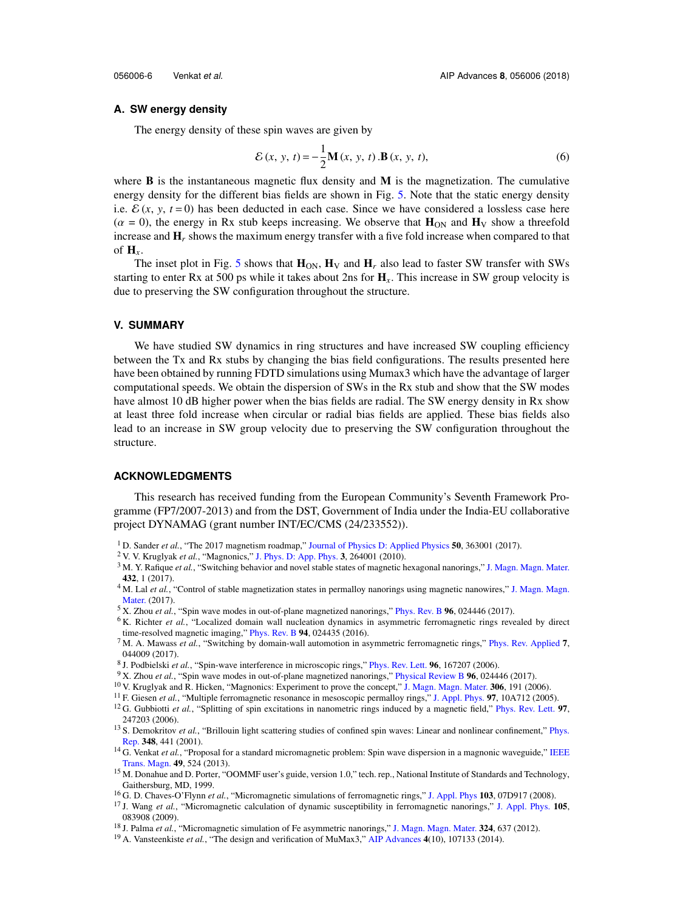## **A. SW energy density**

The energy density of these spin waves are given by

$$
\mathcal{E}(x, y, t) = -\frac{1}{2} \mathbf{M}(x, y, t). \mathbf{B}(x, y, t),
$$
 (6)

where **B** is the instantaneous magnetic flux density and **M** is the magnetization. The cumulative energy density for the different bias fields are shown in Fig. 5. Note that the static energy density i.e.  $\mathcal{E}(x, y, t=0)$  has been deducted in each case. Since we have considered a lossless case here  $(\alpha = 0)$ , the energy in Rx stub keeps increasing. We observe that  $H_{ON}$  and  $H_V$  show a threefold increase and **H***<sup>r</sup>* shows the maximum energy transfer with a five fold increase when compared to that of **H***x*.

The inset plot in Fig. 5 shows that  $H_{ON}$ ,  $H_V$  and  $H_r$  also lead to faster SW transfer with SWs starting to enter Rx at 500 ps while it takes about 2ns for  $\mathbf{H}_x$ . This increase in SW group velocity is due to preserving the SW configuration throughout the structure.

#### **V. SUMMARY**

We have studied SW dynamics in ring structures and have increased SW coupling efficiency between the Tx and Rx stubs by changing the bias field configurations. The results presented here have been obtained by running FDTD simulations using Mumax3 which have the advantage of larger computational speeds. We obtain the dispersion of SWs in the Rx stub and show that the SW modes have almost 10 dB higher power when the bias fields are radial. The SW energy density in Rx show at least three fold increase when circular or radial bias fields are applied. These bias fields also lead to an increase in SW group velocity due to preserving the SW configuration throughout the structure.

#### **ACKNOWLEDGMENTS**

This research has received funding from the European Community's Seventh Framework Programme (FP7/2007-2013) and from the DST, Government of India under the India-EU collaborative project DYNAMAG (grant number INT/EC/CMS (24/233552)).

- <sup>1</sup> D. Sander *et al.*, "The 2017 magnetism roadmap," Journal of Physics D: Applied Physics **50**, 363001 (2017).
- <sup>2</sup> V. V. Kruglyak *et al.*, "Magnonics," J. Phys. D: App. Phys. **3**, 264001 (2010).
- <sup>3</sup> M. Y. Rafique *et al.*, "Switching behavior and novel stable states of magnetic hexagonal nanorings," J. Magn. Magn. Mater. **432**, 1 (2017).
- <sup>4</sup> M. Lal *et al.*, "Control of stable magnetization states in permalloy nanorings using magnetic nanowires," J. Magn. Magn. Mater. (2017).
- <sup>5</sup> X. Zhou *et al.*, "Spin wave modes in out-of-plane magnetized nanorings," Phys. Rev. B **96**, 024446 (2017).
- <sup>6</sup> K. Richter *et al.*, "Localized domain wall nucleation dynamics in asymmetric ferromagnetic rings revealed by direct time-resolved magnetic imaging," Phys. Rev. B **94**, 024435 (2016).
- <sup>7</sup> M. A. Mawass *et al.*, "Switching by domain-wall automotion in asymmetric ferromagnetic rings," Phys. Rev. Applied **7**, 044009 (2017).
- 8 J. Podbielski *et al.*, "Spin-wave interference in microscopic rings," Phys. Rev. Lett. **96**, 167207 (2006).
- <sup>9</sup> X. Zhou *et al.*, "Spin wave modes in out-of-plane magnetized nanorings," Physical Review B **96**, 024446 (2017).
- <sup>10</sup> V. Kruglyak and R. Hicken, "Magnonics: Experiment to prove the concept," J. Magn. Magn. Mater. **306**, 191 (2006).
- <sup>11</sup> F. Giesen *et al.*, "Multiple ferromagnetic resonance in mesoscopic permalloy rings," J. Appl. Phys. **97**, 10A712 (2005).
- <sup>12</sup> G. Gubbiotti *et al.*, "Splitting of spin excitations in nanometric rings induced by a magnetic field," Phys. Rev. Lett. 97, 247203 (2006).
- <sup>13</sup> S. Demokritov et al., "Brillouin light scattering studies of confined spin waves: Linear and nonlinear confinement," Phys. Rep. **348**, 441 (2001).

<sup>14</sup> G. Venkat et al., "Proposal for a standard micromagnetic problem: Spin wave dispersion in a magnonic waveguide," IEEE Trans. Magn. **49**, 524 (2013).

- <sup>15</sup> M. Donahue and D. Porter, "OOMMF user's guide, version 1.0," tech. rep., National Institute of Standards and Technology, Gaithersburg, MD, 1999.
- <sup>16</sup> G. D. Chaves-O'Flynn *et al.*, "Micromagnetic simulations of ferromagnetic rings," J. Appl. Phys **103**, 07D917 (2008).
- <sup>17</sup> J. Wang *et al.*, "Micromagnetic calculation of dynamic susceptibility in ferromagnetic nanorings," J. Appl. Phys. **105**, 083908 (2009).
- <sup>18</sup> J. Palma *et al.*, "Micromagnetic simulation of Fe asymmetric nanorings," J. Magn. Magn. Mater. **324**, 637 (2012).
- <sup>19</sup> A. Vansteenkiste *et al.*, "The design and verification of MuMax3," AIP Advances **4**(10), 107133 (2014).